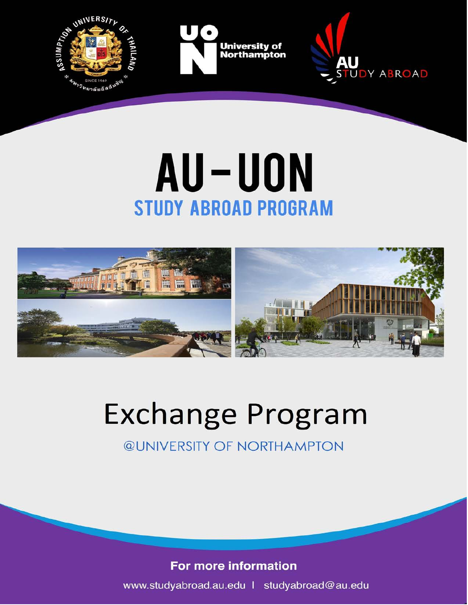

# AU-UON **STUDY ABROAD PROGRAM**



# **Exchange Program**

**@UNIVERSITY OF NORTHAMPTON** 

### For more information

www.studyabroad.au.edu | studyabroad@au.edu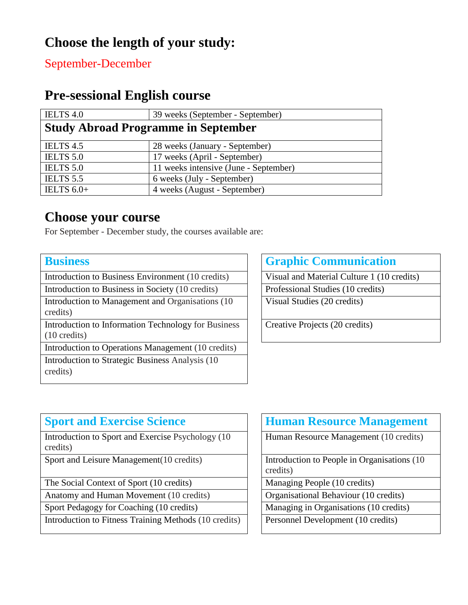# **Choose the length of your study:**

September-December

## **Pre-sessional English course**

| <b>IELTS 4.0</b>                           | 39 weeks (September - September)      |  |
|--------------------------------------------|---------------------------------------|--|
| <b>Study Abroad Programme in September</b> |                                       |  |
| IELTS 4.5                                  | 28 weeks (January - September)        |  |
| <b>IELTS 5.0</b>                           | 17 weeks (April - September)          |  |
| <b>IELTS 5.0</b>                           | 11 weeks intensive (June - September) |  |
| IELTS 5.5                                  | 6 weeks (July - September)            |  |
| IELTS $6.0+$                               | 4 weeks (August - September)          |  |

### **Choose your course**

For September - December study, the courses available are:

Introduction to Business Environment (10 credits) Visual and Material Culture 1 (10 credits)

Introduction to Business in Society (10 credits) Professional Studies (10 credits)

Introduction to Management and Organisations (10 credits)

Introduction to Information Technology for Business (10 credits)

Introduction to Operations Management (10 credits) Introduction to Strategic Business Analysis (10 credits)

#### **Business Graphic Communication**

Visual Studies (20 credits)

Creative Projects (20 credits)

| <b>Sport and Exercise Science</b>                              | <b>Human Resource Management</b>                         |
|----------------------------------------------------------------|----------------------------------------------------------|
| Introduction to Sport and Exercise Psychology (10)<br>credits) | Human Resource Management (10 credits)                   |
| Sport and Leisure Management(10 credits)                       | Introduction to People in Organisations (10)<br>credits) |
| The Social Context of Sport (10 credits)                       | Managing People (10 credits)                             |
| Anatomy and Human Movement (10 credits)                        | Organisational Behaviour (10 credits)                    |
| Sport Pedagogy for Coaching (10 credits)                       | Managing in Organisations (10 credits)                   |
| Introduction to Fitness Training Methods (10 credits)          | Personnel Development (10 credits)                       |

|  | <b>Human Resource Management</b> |
|--|----------------------------------|
|  |                                  |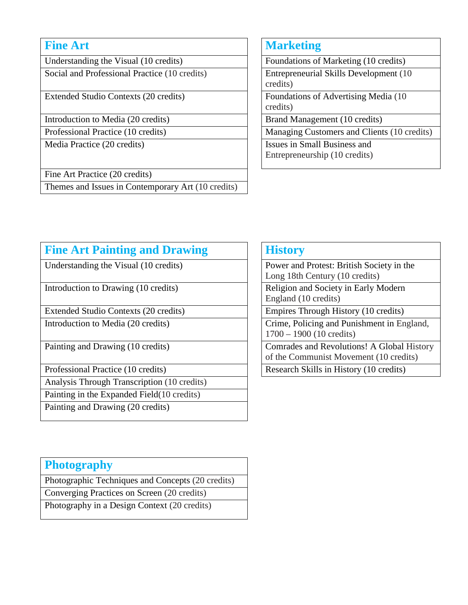Understanding the Visual (10 credits) Foundations of Marketing (10 credits) Social and Professional Practice (10 credits) Entrepreneurial Skills Development (10

Introduction to Media (20 credits) **Brand Management (10 credits)** 

Fine Art Practice (20 credits)

Themes and Issues in Contemporary Art (10 credits)

#### **Fine Art** Marketing

credits) Extended Studio Contexts (20 credits) Foundations of Advertising Media (10 credits) Professional Practice (10 credits) Managing Customers and Clients (10 credits) Media Practice (20 credits) **ISSUE ISSUES** ISSUES in Small Business and Entrepreneurship (10 credits)

| <b>Fine Art Painting and Drawing</b>        | <b>History</b>             |  |
|---------------------------------------------|----------------------------|--|
| Understanding the Visual (10 credits)       | Power and<br>Long 18th     |  |
| Introduction to Drawing (10 credits)        | Religion as<br>England (1  |  |
| Extended Studio Contexts (20 credits)       | Empires T                  |  |
| Introduction to Media (20 credits)          | Crime, Pol<br>$1700 - 190$ |  |
| Painting and Drawing (10 credits)           | Comrades<br>of the Con     |  |
| Professional Practice (10 credits)          | Research S                 |  |
| Analysis Through Transcription (10 credits) |                            |  |
| Painting in the Expanded Field (10 credits) |                            |  |
| Painting and Drawing (20 credits)           |                            |  |
|                                             |                            |  |

|  | History |  |
|--|---------|--|
|--|---------|--|

Power and Protest: British Society in the Long 18th Century (10 credits) Religion and Society in Early Modern England (10 credits) Empires Through History (10 credits)

Crime, Policing and Punishment in England, 1700 – 1900 (10 credits)

Comrades and Revolutions! A Global History of the Communist Movement (10 credits) Research Skills in History (10 credits)

#### **Photography**

Photographic Techniques and Concepts (20 credits)

Converging Practices on Screen (20 credits)

Photography in a Design Context (20 credits)